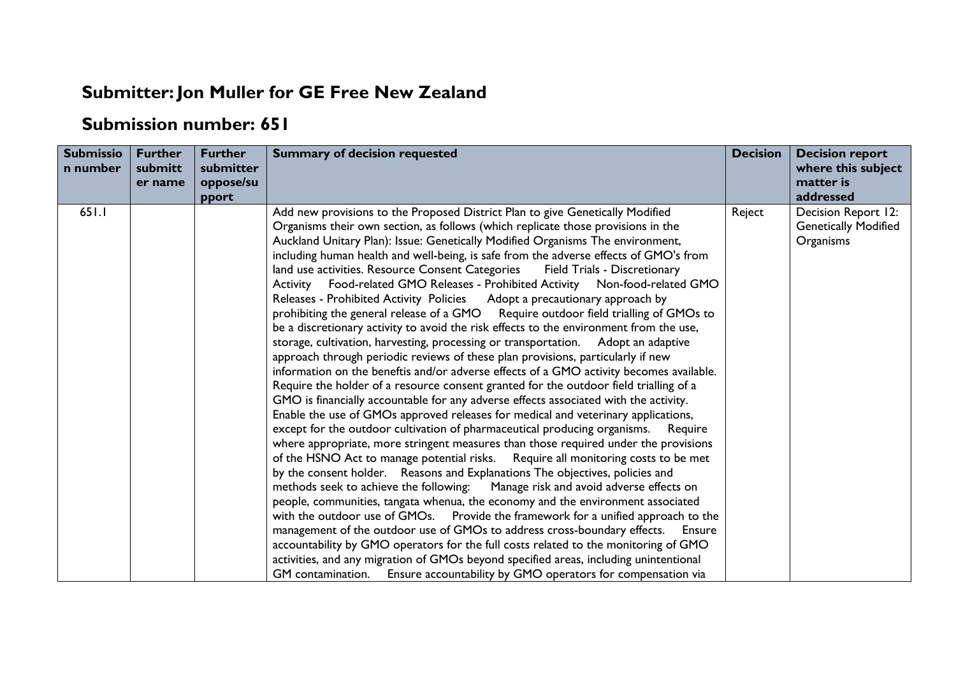## **Submitter:Jon Muller for GE Free New Zealand**

## **Submission number: 651**

| <b>Submissio</b><br>n number | <b>Further</b><br>submitt<br>er name | <b>Further</b><br>submitter<br>oppose/su<br>pport | <b>Summary of decision requested</b>                                                                                                                                                                                                                                                                                                                                                                                                                                                                                                                                                                                                                                                                                                                                                                                                                                                                                                                                                                                                                                                                                                                                                                                                                                                                                                                                                                                                                                                                                                                                                                                                                                                                                                                                                                                                                                                                                                                                                                                                                                                                                                                                                                                                                                                               | <b>Decision</b> | <b>Decision report</b><br>where this subject<br>matter is<br>addressed |
|------------------------------|--------------------------------------|---------------------------------------------------|----------------------------------------------------------------------------------------------------------------------------------------------------------------------------------------------------------------------------------------------------------------------------------------------------------------------------------------------------------------------------------------------------------------------------------------------------------------------------------------------------------------------------------------------------------------------------------------------------------------------------------------------------------------------------------------------------------------------------------------------------------------------------------------------------------------------------------------------------------------------------------------------------------------------------------------------------------------------------------------------------------------------------------------------------------------------------------------------------------------------------------------------------------------------------------------------------------------------------------------------------------------------------------------------------------------------------------------------------------------------------------------------------------------------------------------------------------------------------------------------------------------------------------------------------------------------------------------------------------------------------------------------------------------------------------------------------------------------------------------------------------------------------------------------------------------------------------------------------------------------------------------------------------------------------------------------------------------------------------------------------------------------------------------------------------------------------------------------------------------------------------------------------------------------------------------------------------------------------------------------------------------------------------------------------|-----------------|------------------------------------------------------------------------|
| 651.1                        |                                      |                                                   | Add new provisions to the Proposed District Plan to give Genetically Modified<br>Organisms their own section, as follows (which replicate those provisions in the<br>Auckland Unitary Plan): Issue: Genetically Modified Organisms The environment,<br>including human health and well-being, is safe from the adverse effects of GMO's from<br>land use activities. Resource Consent Categories<br><b>Field Trials - Discretionary</b><br>Activity Food-related GMO Releases - Prohibited Activity Non-food-related GMO<br>Releases - Prohibited Activity Policies Adopt a precautionary approach by<br>prohibiting the general release of a GMO Require outdoor field trialling of GMOs to<br>be a discretionary activity to avoid the risk effects to the environment from the use,<br>storage, cultivation, harvesting, processing or transportation. Adopt an adaptive<br>approach through periodic reviews of these plan provisions, particularly if new<br>information on the beneftis and/or adverse effects of a GMO activity becomes available.<br>Require the holder of a resource consent granted for the outdoor field trialling of a<br>GMO is financially accountable for any adverse effects associated with the activity.<br>Enable the use of GMOs approved releases for medical and veterinary applications,<br>except for the outdoor cultivation of pharmaceutical producing organisms. Require<br>where appropriate, more stringent measures than those required under the provisions<br>of the HSNO Act to manage potential risks. Require all monitoring costs to be met<br>by the consent holder. Reasons and Explanations The objectives, policies and<br>methods seek to achieve the following: Manage risk and avoid adverse effects on<br>people, communities, tangata whenua, the economy and the environment associated<br>with the outdoor use of GMOs. Provide the framework for a unified approach to the<br>management of the outdoor use of GMOs to address cross-boundary effects.<br>Ensure<br>accountability by GMO operators for the full costs related to the monitoring of GMO<br>activities, and any migration of GMOs beyond specified areas, including unintentional<br>GM contamination. Ensure accountability by GMO operators for compensation via | Reject          | Decision Report 12:<br><b>Genetically Modified</b><br>Organisms        |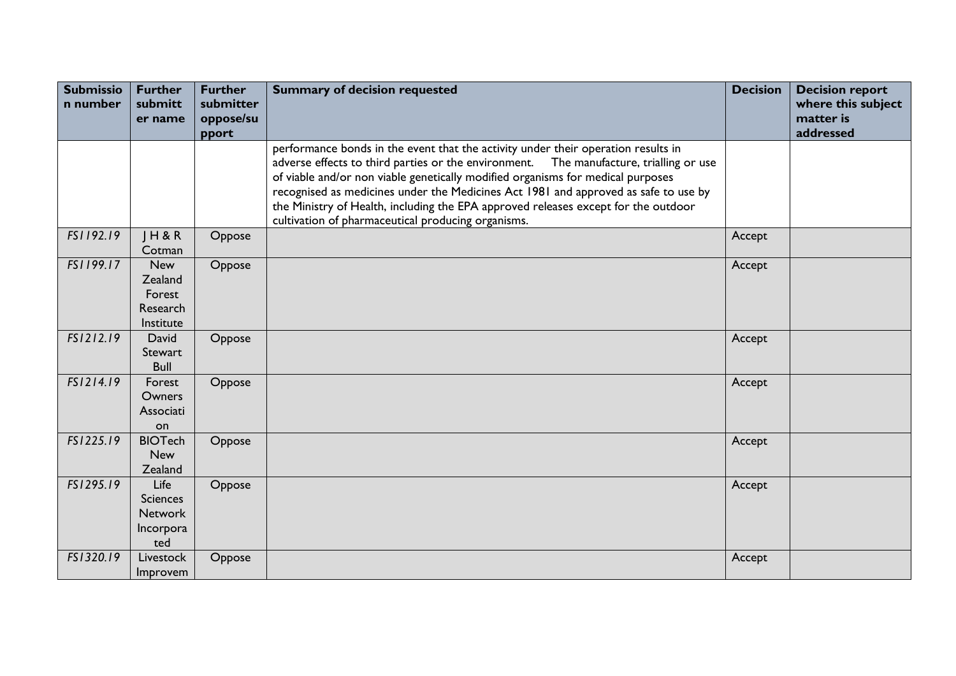| <b>Submissio</b><br>n number | <b>Further</b><br>submitt<br>er name                          | <b>Further</b><br>submitter<br>oppose/su | <b>Summary of decision requested</b>                                                                                                                                                                                                                                                                                                                                                                                                                                                                 | <b>Decision</b> | <b>Decision report</b><br>where this subject<br>matter is |
|------------------------------|---------------------------------------------------------------|------------------------------------------|------------------------------------------------------------------------------------------------------------------------------------------------------------------------------------------------------------------------------------------------------------------------------------------------------------------------------------------------------------------------------------------------------------------------------------------------------------------------------------------------------|-----------------|-----------------------------------------------------------|
|                              |                                                               | pport                                    |                                                                                                                                                                                                                                                                                                                                                                                                                                                                                                      |                 | addressed                                                 |
|                              |                                                               |                                          | performance bonds in the event that the activity under their operation results in<br>adverse effects to third parties or the environment.<br>The manufacture, trialling or use<br>of viable and/or non viable genetically modified organisms for medical purposes<br>recognised as medicines under the Medicines Act 1981 and approved as safe to use by<br>the Ministry of Health, including the EPA approved releases except for the outdoor<br>cultivation of pharmaceutical producing organisms. |                 |                                                           |
| FS1192.19                    | H 8 R<br>Cotman                                               | Oppose                                   |                                                                                                                                                                                                                                                                                                                                                                                                                                                                                                      | Accept          |                                                           |
| FS1199.17                    | New<br>Zealand<br>Forest<br>Research<br>Institute             | Oppose                                   |                                                                                                                                                                                                                                                                                                                                                                                                                                                                                                      | Accept          |                                                           |
| FS1212.19                    | David<br>Stewart<br><b>Bull</b>                               | Oppose                                   |                                                                                                                                                                                                                                                                                                                                                                                                                                                                                                      | Accept          |                                                           |
| FS1214.19                    | Forest<br>Owners<br>Associati<br>on                           | Oppose                                   |                                                                                                                                                                                                                                                                                                                                                                                                                                                                                                      | Accept          |                                                           |
| FS1225.19                    | <b>BIOTech</b><br><b>New</b><br>Zealand                       | Oppose                                   |                                                                                                                                                                                                                                                                                                                                                                                                                                                                                                      | Accept          |                                                           |
| FS1295.19                    | Life<br><b>Sciences</b><br><b>Network</b><br>Incorpora<br>ted | Oppose                                   |                                                                                                                                                                                                                                                                                                                                                                                                                                                                                                      | Accept          |                                                           |
| FS1320.19                    | Livestock<br>Improvem                                         | Oppose                                   |                                                                                                                                                                                                                                                                                                                                                                                                                                                                                                      | Accept          |                                                           |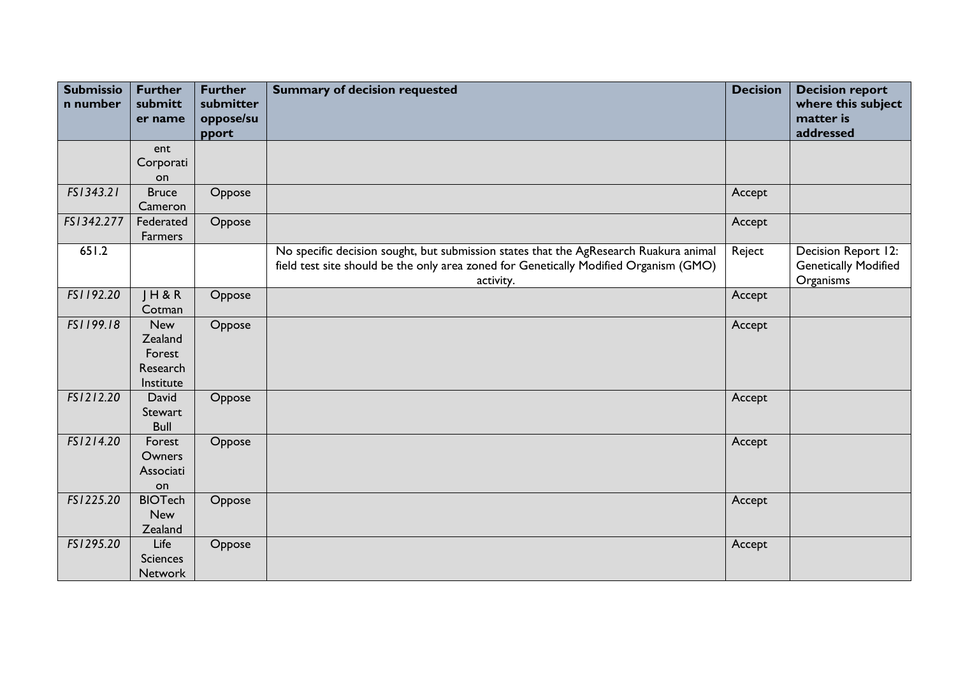| <b>Submissio</b><br>n number | <b>Further</b><br>submitt<br>er name                     | <b>Further</b><br>submitter<br>oppose/su | <b>Summary of decision requested</b>                                                                                                                                                        | <b>Decision</b> | <b>Decision report</b><br>where this subject<br>matter is       |
|------------------------------|----------------------------------------------------------|------------------------------------------|---------------------------------------------------------------------------------------------------------------------------------------------------------------------------------------------|-----------------|-----------------------------------------------------------------|
|                              |                                                          | pport                                    |                                                                                                                                                                                             |                 | addressed                                                       |
|                              | ent<br>Corporati<br>on                                   |                                          |                                                                                                                                                                                             |                 |                                                                 |
| FS1343.21                    | <b>Bruce</b><br>Cameron                                  | Oppose                                   |                                                                                                                                                                                             | Accept          |                                                                 |
| FS1342.277                   | Federated<br>Farmers                                     | Oppose                                   |                                                                                                                                                                                             | Accept          |                                                                 |
| 651.2                        |                                                          |                                          | No specific decision sought, but submission states that the AgResearch Ruakura animal<br>field test site should be the only area zoned for Genetically Modified Organism (GMO)<br>activity. | Reject          | Decision Report 12:<br><b>Genetically Modified</b><br>Organisms |
| FS1192.20                    | $J$ H & R<br>Cotman                                      | Oppose                                   |                                                                                                                                                                                             | Accept          |                                                                 |
| FS1199.18                    | <b>New</b><br>Zealand<br>Forest<br>Research<br>Institute | Oppose                                   |                                                                                                                                                                                             | Accept          |                                                                 |
| FS1212.20                    | David<br>Stewart<br><b>Bull</b>                          | Oppose                                   |                                                                                                                                                                                             | Accept          |                                                                 |
| FS1214.20                    | Forest<br>Owners<br>Associati<br>on                      | Oppose                                   |                                                                                                                                                                                             | Accept          |                                                                 |
| FS1225.20                    | <b>BIOTech</b><br><b>New</b><br>Zealand                  | Oppose                                   |                                                                                                                                                                                             | Accept          |                                                                 |
| FS1295.20                    | Life<br><b>Sciences</b><br>Network                       | Oppose                                   |                                                                                                                                                                                             | Accept          |                                                                 |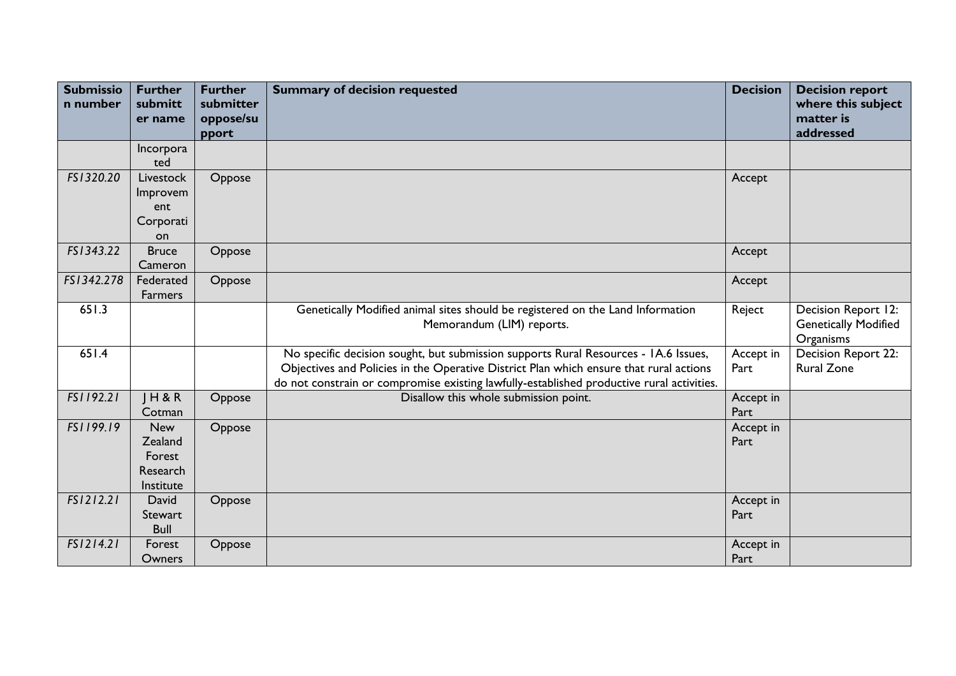| <b>Submissio</b><br>n number | <b>Further</b><br>submitt<br>er name                     | <b>Further</b><br>submitter<br>oppose/su | <b>Summary of decision requested</b>                                                                                                                                                                                                                                       | <b>Decision</b>   | <b>Decision report</b><br>where this subject<br>matter is       |
|------------------------------|----------------------------------------------------------|------------------------------------------|----------------------------------------------------------------------------------------------------------------------------------------------------------------------------------------------------------------------------------------------------------------------------|-------------------|-----------------------------------------------------------------|
|                              |                                                          | pport                                    |                                                                                                                                                                                                                                                                            |                   | addressed                                                       |
|                              | Incorpora                                                |                                          |                                                                                                                                                                                                                                                                            |                   |                                                                 |
|                              | ted                                                      |                                          |                                                                                                                                                                                                                                                                            |                   |                                                                 |
| FS1320.20                    | Livestock                                                | Oppose                                   |                                                                                                                                                                                                                                                                            | Accept            |                                                                 |
|                              | Improvem                                                 |                                          |                                                                                                                                                                                                                                                                            |                   |                                                                 |
|                              | ent                                                      |                                          |                                                                                                                                                                                                                                                                            |                   |                                                                 |
|                              | Corporati                                                |                                          |                                                                                                                                                                                                                                                                            |                   |                                                                 |
|                              | on                                                       |                                          |                                                                                                                                                                                                                                                                            |                   |                                                                 |
| FS1343.22                    | <b>Bruce</b>                                             | Oppose                                   |                                                                                                                                                                                                                                                                            | Accept            |                                                                 |
|                              | Cameron                                                  |                                          |                                                                                                                                                                                                                                                                            |                   |                                                                 |
| FS1342.278                   | Federated                                                | Oppose                                   |                                                                                                                                                                                                                                                                            | Accept            |                                                                 |
|                              | <b>Farmers</b>                                           |                                          |                                                                                                                                                                                                                                                                            |                   |                                                                 |
| 651.3                        |                                                          |                                          | Genetically Modified animal sites should be registered on the Land Information<br>Memorandum (LIM) reports.                                                                                                                                                                | Reject            | Decision Report 12:<br><b>Genetically Modified</b><br>Organisms |
| 651.4                        |                                                          |                                          | No specific decision sought, but submission supports Rural Resources - IA.6 Issues,<br>Objectives and Policies in the Operative District Plan which ensure that rural actions<br>do not constrain or compromise existing lawfully-established productive rural activities. | Accept in<br>Part | Decision Report 22:<br><b>Rural Zone</b>                        |
| FS1192.21                    | $J$ H & R<br>Cotman                                      | Oppose                                   | Disallow this whole submission point.                                                                                                                                                                                                                                      | Accept in<br>Part |                                                                 |
| FS1199.19                    | <b>New</b><br>Zealand<br>Forest<br>Research<br>Institute | Oppose                                   |                                                                                                                                                                                                                                                                            | Accept in<br>Part |                                                                 |
| FS1212.21                    | David                                                    | Oppose                                   |                                                                                                                                                                                                                                                                            | Accept in         |                                                                 |
|                              | Stewart<br><b>Bull</b>                                   |                                          |                                                                                                                                                                                                                                                                            | Part              |                                                                 |
| FS1214.21                    | Forest                                                   | Oppose                                   |                                                                                                                                                                                                                                                                            | Accept in         |                                                                 |
|                              | Owners                                                   |                                          |                                                                                                                                                                                                                                                                            | Part              |                                                                 |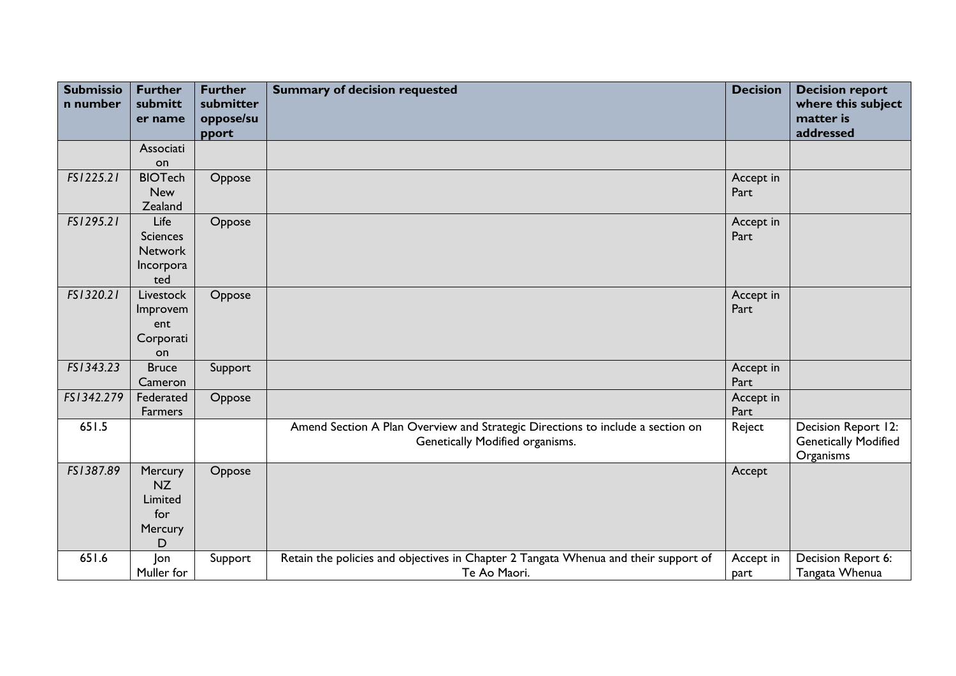| <b>Submissio</b><br>n number | <b>Further</b><br>submitt<br>er name | <b>Further</b><br>submitter<br>oppose/su | <b>Summary of decision requested</b>                                                | <b>Decision</b> | <b>Decision report</b><br>where this subject<br>matter is |
|------------------------------|--------------------------------------|------------------------------------------|-------------------------------------------------------------------------------------|-----------------|-----------------------------------------------------------|
|                              |                                      | pport                                    |                                                                                     |                 | addressed                                                 |
|                              | Associati                            |                                          |                                                                                     |                 |                                                           |
|                              | on                                   |                                          |                                                                                     |                 |                                                           |
| FS1225.21                    | <b>BIOTech</b>                       | Oppose                                   |                                                                                     | Accept in       |                                                           |
|                              | <b>New</b>                           |                                          |                                                                                     | Part            |                                                           |
|                              | Zealand                              |                                          |                                                                                     |                 |                                                           |
| FS1295.21                    | Life                                 | Oppose                                   |                                                                                     | Accept in       |                                                           |
|                              | <b>Sciences</b>                      |                                          |                                                                                     | Part            |                                                           |
|                              | <b>Network</b>                       |                                          |                                                                                     |                 |                                                           |
|                              | Incorpora                            |                                          |                                                                                     |                 |                                                           |
|                              | ted                                  |                                          |                                                                                     |                 |                                                           |
| FS1320.21                    | Livestock                            | Oppose                                   |                                                                                     | Accept in       |                                                           |
|                              | Improvem<br>ent                      |                                          |                                                                                     | Part            |                                                           |
|                              | Corporati                            |                                          |                                                                                     |                 |                                                           |
|                              | on                                   |                                          |                                                                                     |                 |                                                           |
| FS1343.23                    | <b>Bruce</b>                         | Support                                  |                                                                                     | Accept in       |                                                           |
|                              | Cameron                              |                                          |                                                                                     | Part            |                                                           |
| FS1342.279                   | Federated                            | Oppose                                   |                                                                                     | Accept in       |                                                           |
|                              | Farmers                              |                                          |                                                                                     | Part            |                                                           |
| 651.5                        |                                      |                                          | Amend Section A Plan Overview and Strategic Directions to include a section on      | Reject          | Decision Report 12:                                       |
|                              |                                      |                                          | Genetically Modified organisms.                                                     |                 | <b>Genetically Modified</b>                               |
|                              |                                      |                                          |                                                                                     |                 | Organisms                                                 |
| FS1387.89                    | Mercury                              | Oppose                                   |                                                                                     | Accept          |                                                           |
|                              | <b>NZ</b>                            |                                          |                                                                                     |                 |                                                           |
|                              | Limited                              |                                          |                                                                                     |                 |                                                           |
|                              | for                                  |                                          |                                                                                     |                 |                                                           |
|                              | Mercury                              |                                          |                                                                                     |                 |                                                           |
|                              | D                                    |                                          |                                                                                     |                 |                                                           |
| 651.6                        | Jon                                  | Support                                  | Retain the policies and objectives in Chapter 2 Tangata Whenua and their support of | Accept in       | Decision Report 6:                                        |
|                              | Muller for                           |                                          | Te Ao Maori.                                                                        | part            | Tangata Whenua                                            |